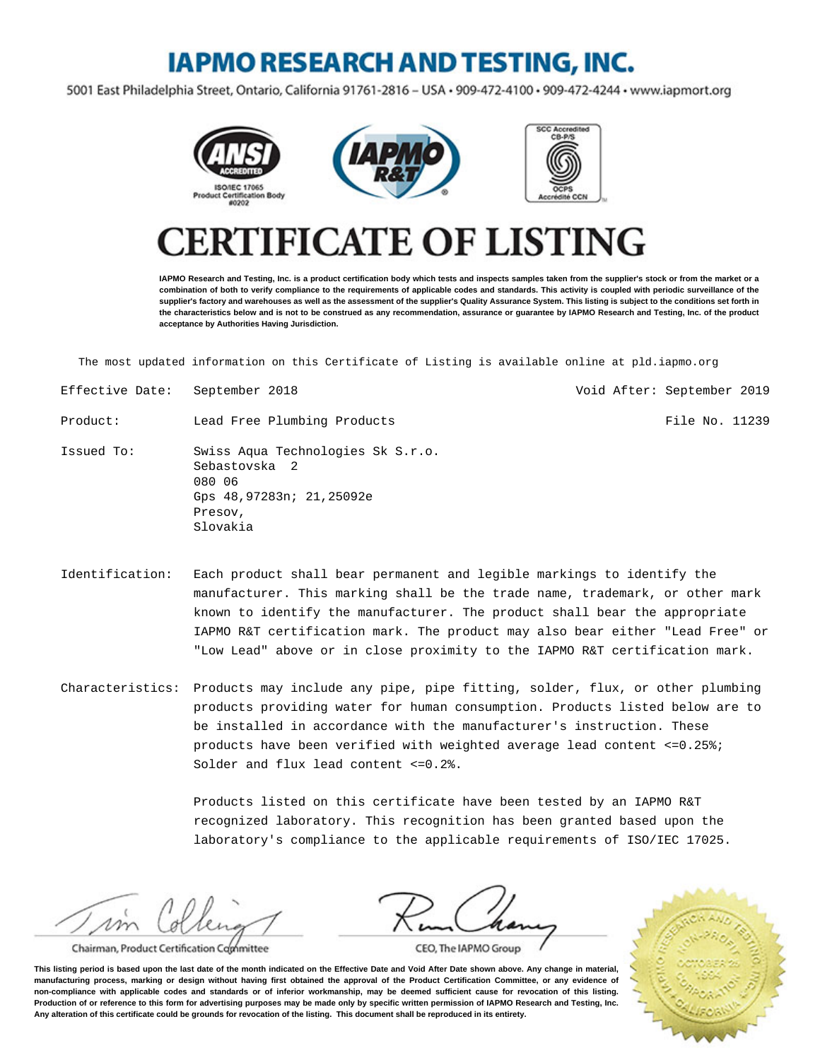## **IAPMO RESEARCH AND TESTING, INC.**

5001 East Philadelphia Street, Ontario, California 91761-2816 - USA · 909-472-4100 · 909-472-4244 · www.iapmort.org







## **CATE OF LISTING**

**IAPMO Research and Testing, Inc. is a product certification body which tests and inspects samples taken from the supplier's stock or from the market or a combination of both to verify compliance to the requirements of applicable codes and standards. This activity is coupled with periodic surveillance of the supplier's factory and warehouses as well as the assessment of the supplier's Quality Assurance System. This listing is subject to the conditions set forth in the characteristics below and is not to be construed as any recommendation, assurance or guarantee by IAPMO Research and Testing, Inc. of the product acceptance by Authorities Having Jurisdiction.**

The most updated information on this Certificate of Listing is available online at pld.iapmo.org

- Effective Date: September 2018 Void After: September 2019
- Product: Lead Free Plumbing Products and American Rile No. 11239

Issued To: Swiss Aqua Technologies Sk S.r.o. Sebastovska 2 080 06 Gps 48,97283n; 21,25092e Presov, Slovakia

Identification: Each product shall bear permanent and legible markings to identify the manufacturer. This marking shall be the trade name, trademark, or other mark known to identify the manufacturer. The product shall bear the appropriate IAPMO R&T certification mark. The product may also bear either "Lead Free" or "Low Lead" above or in close proximity to the IAPMO R&T certification mark.

Characteristics: Products may include any pipe, pipe fitting, solder, flux, or other plumbing products providing water for human consumption. Products listed below are to be installed in accordance with the manufacturer's instruction. These products have been verified with weighted average lead content  $\leq 0.25\%$ ; Solder and flux lead content <=0.2%.

> Products listed on this certificate have been tested by an IAPMO R&T recognized laboratory. This recognition has been granted based upon the laboratory's compliance to the applicable requirements of ISO/IEC 17025.

m

Chairman, Product Certification Committee

CEO, The IAPMO Group

**This listing period is based upon the last date of the month indicated on the Effective Date and Void After Date shown above. Any change in material, manufacturing process, marking or design without having first obtained the approval of the Product Certification Committee, or any evidence of non-compliance with applicable codes and standards or of inferior workmanship, may be deemed sufficient cause for revocation of this listing. Production of or reference to this form for advertising purposes may be made only by specific written permission of IAPMO Research and Testing, Inc. Any alteration of this certificate could be grounds for revocation of the listing. This document shall be reproduced in its entirety.**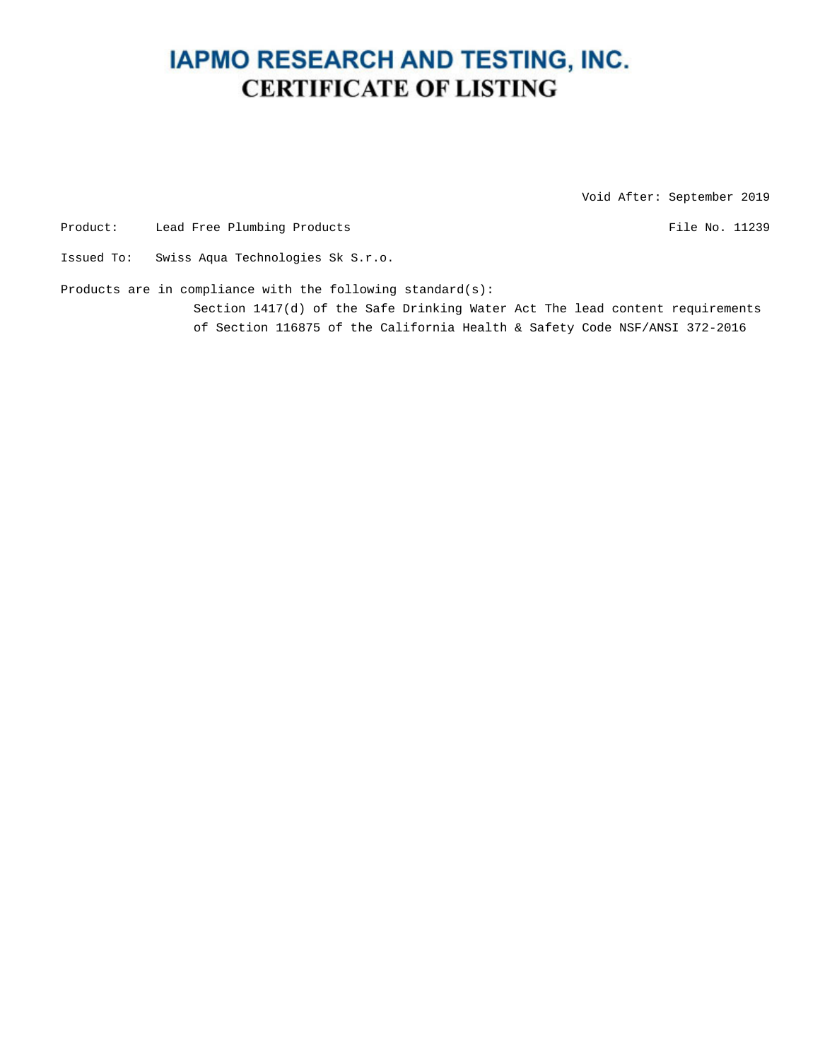## **IAPMO RESEARCH AND TESTING, INC. CERTIFICATE OF LISTING**

Void After: September 2019

Product: Lead Free Plumbing Products and American control of the No. 11239

Issued To: Swiss Aqua Technologies Sk S.r.o.

Products are in compliance with the following standard(s):

Section 1417(d) of the Safe Drinking Water Act The lead content requirements of Section 116875 of the California Health & Safety Code NSF/ANSI 372-2016